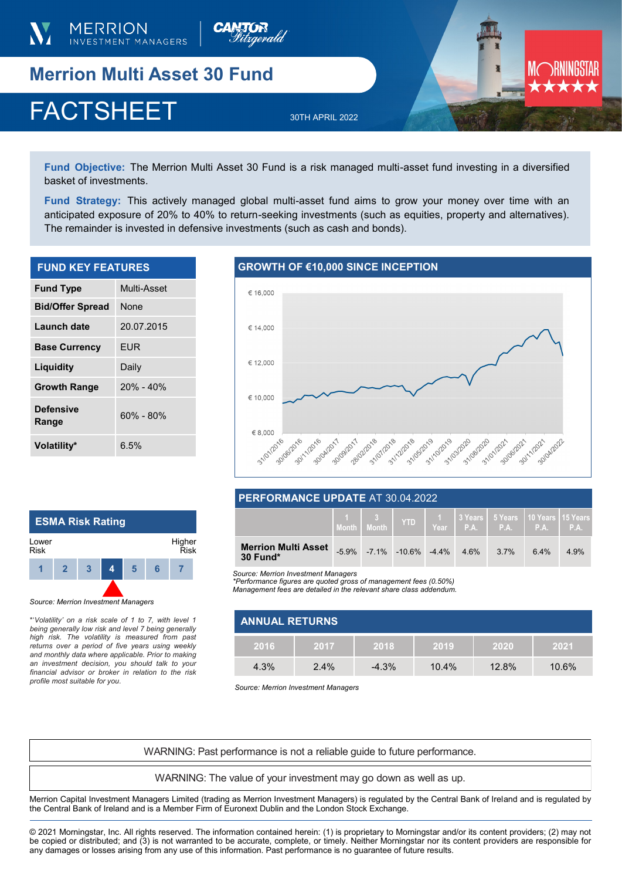

**Merrion Multi Asset 30 Fund** 

# FACTSHEET 30TH APRIL 2022

**Fund Objective:** The Merrion Multi Asset 30 Fund is a risk managed multi-asset fund investing in a diversified basket of investments.

**Fund Strategy:** This actively managed global multi-asset fund aims to grow your money over time with an anticipated exposure of 20% to 40% to return-seeking investments (such as equities, property and alternatives). The remainder is invested in defensive investments (such as cash and bonds).

| <b>FUND KEY FEATURES</b>  |               |  |  |
|---------------------------|---------------|--|--|
| <b>Fund Type</b>          | Multi-Asset   |  |  |
| <b>Bid/Offer Spread</b>   | <b>None</b>   |  |  |
| Launch date               | 20.07.2015    |  |  |
| <b>Base Currency</b>      | <b>EUR</b>    |  |  |
| Liquidity                 | Daily         |  |  |
| <b>Growth Range</b>       | $20\% - 40\%$ |  |  |
| <b>Defensive</b><br>Range | 60% - 80%     |  |  |

## **GROWTH OF €10,000 SINCE INCEPTION**



## **PERFORMANCE UPDATE** AT 30.04.2022

|                                        | Month | YTD                                  |      | 1 1 3 Years   5 Years   10 Years   15 Years  <br>$Year$ P.A.   P.A.   P.A.   P.A. |     |      |
|----------------------------------------|-------|--------------------------------------|------|-----------------------------------------------------------------------------------|-----|------|
| <b>Merrion Multi Asset</b><br>30 Fund* |       | $-5.9\%$ $-7.1\%$ $-10.6\%$ $-4.4\%$ | 4.6% | $3.7\%$                                                                           | 64% | 4.9% |

*Source: Merrion Investment Managers*

*\*Performance figures are quoted gross of management fees (0.50%) Management fees are detailed in the relevant share class addendum.* 

| <b>ANNUAL RETURNS</b> |      |         |       |          |       |  |
|-----------------------|------|---------|-------|----------|-------|--|
| 2016                  | 2017 | 2018    | 2019  | 2020     | 2021  |  |
| 4.3%                  | 2.4% | $-4.3%$ | 10.4% | $12.8\%$ | 10.6% |  |

*Source: Merrion Investment Managers*

WARNING: Past performance is not a reliable guide to future performance.

WARNING: The value of your investment may go down as well as up.

Merrion Capital Investment Managers Limited (trading as Merrion Investment Managers) is regulated by the Central Bank of Ireland and is regulated by the Central Bank of Ireland and is a Member Firm of Euronext Dublin and the London Stock Exchange.

© 2021 Morningstar, Inc. All rights reserved. The information contained herein: (1) is proprietary to Morningstar and/or its content providers; (2) may not be copied or distributed; and (3) is not warranted to be accurate, complete, or timely. Neither Morningstar nor its content providers are responsible for any damages or losses arising from any use of this information. Past performance is no guarantee of future results.



*Source: Merrion Investment Managers*

**Volatility\*** 6.5%

\*'*Volatility' on a risk scale of 1 to 7, with level 1 being generally low risk and level 7 being generally high risk. The volatility is measured from past returns over a period of five years using weekly and monthly data where applicable. Prior to making an investment decision, you should talk to your financial advisor or broker in relation to the risk profile most suitable for you.*